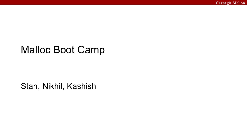#### Malloc Boot Camp

#### Stan, Nikhil, Kashish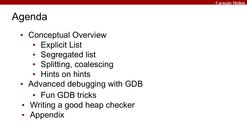### Agenda

- Conceptual Overview
	- **Explicit List**
	- Segregated list
	- Splitting, coalescing
	- Hints on hints
- Advanced debugging with GDB
	- Fun GDB tricks
- Writing a good heap checker
- Appendix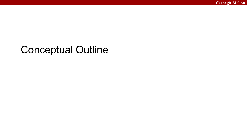#### Conceptual Outline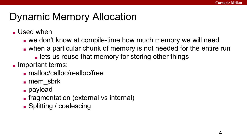# Dynamic Memory Allocation

- Used when
	- we don't know at compile-time how much memory we will need
	- when a particular chunk of memory is not needed for the entire run
		- lets us reuse that memory for storing other things
- Important terms:
	- malloc/calloc/realloc/free
	- mem\_sbrk
	- payload
	- fragmentation (external vs internal)
	- Splitting / coalescing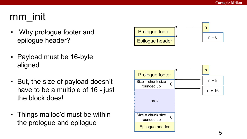# mm\_init

- Why prologue footer and epilogue header?
- Payload must be 16-byte aligned
- But, the size of payload doesn't have to be a multiple of 16 - just the block does!
- Things malloc'd must be within the prologue and epilogue



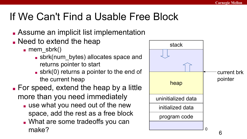# If We Can't Find a Usable Free Block

- Assume an implicit list implementation
- Need to extend the heap
	- mem\_sbrk()
		- sbrk(num\_bytes) allocates space and returns pointer to start
		- $\blacksquare$  sbrk(0) returns a pointer to the end of the current heap
- For speed, extend the heap by a little more than you need immediately
	- use what you need out of the new space, add the rest as a free block
	- What are some tradeoffs you can make?

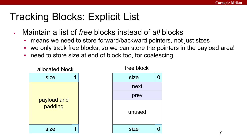# Tracking Blocks: Explicit List

- Maintain a list of *free* blocks instead of *all* blocks
	- means we need to store forward/backward pointers, not just sizes
	- we only track free blocks, so we can store the pointers in the payload area!
	- need to store size at end of block too, for coalescing



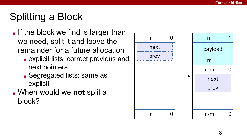# Splitting a Block

- If the block we find is larger than we need, split it and leave the remainder for a future allocation
	- explicit lists: correct previous and next pointers
	- Segregated lists: same as explicit
- When would we **not** split a block?

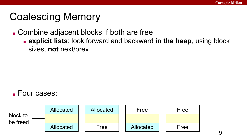### Coalescing Memory

■ Combine adjacent blocks if both are free

■ **explicit lists**: look forward and backward **in the heap**, using block sizes, **not** next/prev

#### ■ Four cases:

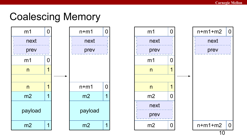#### Coalescing Memory

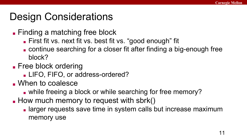### Design Considerations

- Finding a matching free block
	- First fit vs. next fit vs. best fit vs. "good enough" fit
	- continue searching for a closer fit after finding a big-enough free block?
- Free block ordering
	- LIFO, FIFO, or address-ordered?
- When to coalesce
	- while freeing a block or while searching for free memory?
- How much memory to request with sbrk()
	- larger requests save time in system calls but increase maximum memory use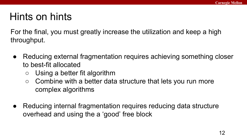# Hints on hints

For the final, you must greatly increase the utilization and keep a high throughput.

- Reducing external fragmentation requires achieving something closer to best-fit allocated
	- Using a better fit algorithm
	- Combine with a better data structure that lets you run more complex algorithms
- Reducing internal fragmentation requires reducing data structure overhead and using the a 'good' free block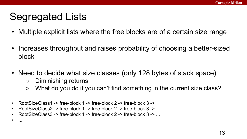# Segregated Lists

- Multiple explicit lists where the free blocks are of a certain size range
- Increases throughput and raises probability of choosing a better-sized block
- Need to decide what size classes (only 128 bytes of stack space)
	- Diminishing returns

• ...

- What do you do if you can't find something in the current size class?
- RootSizeClass1 -> free-block 1 -> free-block 2 -> free-block 3 ->
- RootSizeClass2 -> free-block 1 -> free-block 2 -> free-block 3 -> ...
- RootSizeClass3 -> free-block 1 -> free-block 2 -> free-block 3 -> ...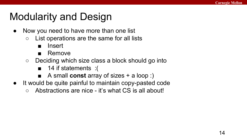# Modularity and Design

- Now you need to have more than one list
	- List operations are the same for all lists
		- Insert
		- Remove
	- Deciding which size class a block should go into
		- 14 if statements : (
		- A small **const** array of sizes + a loop :)
- It would be quite painful to maintain copy-pasted code
	- Abstractions are nice it's what CS is all about!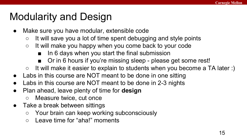# Modularity and Design

- Make sure you have modular, extensible code
	- It will save you a lot of time spent debugging and style points
	- It will make you happy when you come back to your code
		- In 6 days when you start the final submission
		- Or in 6 hours if you're missing sleep please get some rest!
	- $\circ$  It will make it easier to explain to students when you become a TA later :)
- Labs in this course are NOT meant to be done in one sitting
- Labs in this course are NOT meant to be done in 2-3 nights
- Plan ahead, leave plenty of time for **design**
	- Measure twice, cut once
- Take a break between sittings
	- Your brain can keep working subconsciously
	- Leave time for "aha!" moments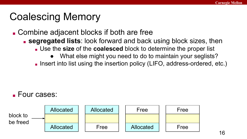# Coalescing Memory

- Combine adjacent blocks if both are free
	- **segregated lists**: look forward and back using block sizes, then
		- Use the **size** of the **coalesced** block to determine the proper list
			- What else might you need to do to maintain your seglists?

■ Insert into list using the insertion policy (LIFO, address-ordered, etc.)

#### ■ Four cases:

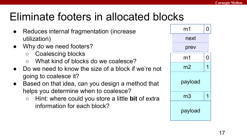# Eliminate footers in allocated blocks

- Reduces internal fragmentation (increase utilization)
- Why do we need footers?
	- Coalescing blocks
	- What kind of blocks do we coalesce?
- Do we need to know the size of a block if we're not going to coalesce it?
- Based on that idea, can you design a method that helps you determine when to coalesce?
	- Hint: where could you store a little **bit** of extra information for each block?

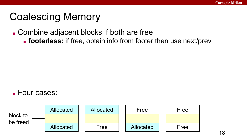### Coalescing Memory

■ Combine adjacent blocks if both are free

**footerless:** if free, obtain info from footer then use next/prev

#### ■ Four cases:

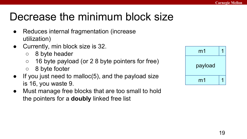# Decrease the minimum block size

- Reduces internal fragmentation (increase utilization)
- Currently, min block size is 32.
	- 8 byte header
	- $\circ$  16 byte payload (or 2 8 byte pointers for free)
	- 8 byte footer
- $\bullet$  If you just need to malloc(5), and the payload size is 16, you waste 9.
- Must manage free blocks that are too small to hold the pointers for a **doubly** linked free list

| m <sub>1</sub> |  |
|----------------|--|
| payload        |  |
| m <sub>1</sub> |  |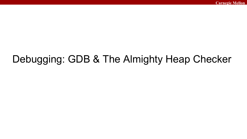# Debugging: GDB & The Almighty Heap Checker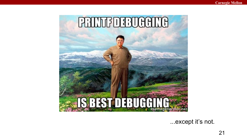

...except it's not.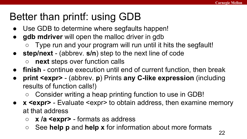# Better than printf: using GDB

- Use GDB to determine where segfaults happen!
- **gdb mdriver** will open the malloc driver in gdb
	- Type run and your program will run until it hits the segfault!
- **step/next** (abbrev. **s/n**) step to the next line of code
	- **○ next** steps over function calls
- **finish** continue execution until end of current function, then break
- **● print <expr>**  (abbrev. **p**) Prints **any C-like expression** (including results of function calls!)
	- Consider writing a heap printing function to use in GDB!
- **● x <expr>** Evaluate <expr> to obtain address, then examine memory at that address
	- **x /a <expr>** formats as address
	- See **help p** and **help x** for information about more formats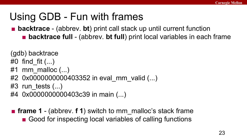#### Using GDB - Fun with frames

■ **backtrace** - (abbrev. **bt**) print call stack up until current function

■ **backtrace full** - (abbrev. **bt full**) print local variables in each frame

(gdb) backtrace

- #0 find fit  $(...)$
- #1 mm malloc  $(...)$
- #2 0x0000000000403352 in eval\_mm\_valid (...)
- $#3$  run tests  $(...)$
- #4 0x0000000000403c39 in main (...)
- **frame 1** (abbrev. **f 1**) switch to mm\_malloc's stack frame ■ Good for inspecting local variables of calling functions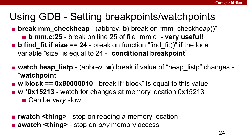#### Using GDB - Setting breakpoints/watchpoints

■ **break mm\_checkheap** - (abbrev. **b**) break on "mm\_checkheap()"

- **b mm.c:25** break on line 25 of file "mm.c" **very useful!**
- **b find fit if size**  $== 24$  break on function "find fit()" if the local variable "size" is equal to 24 - "**conditional breakpoint**"
- **watch heap\_listp** (abbrev. **w**) break if value of "heap listp" changes -"**watchpoint**"
- **w block == 0x80000010** break if "block" is equal to this value
- **w \*0x15213** watch for changes at memory location 0x15213
	- Can be *very* slow

■ **rwatch <thing>** - stop on reading a memory location ■ **awatch <thing>** - stop on *any* memory access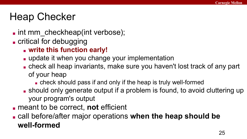### Heap Checker

- I int mm\_checkheap(int verbose);
- critical for debugging
	- **write this function early!**
	- update it when you change your implementation
	- check all heap invariants, make sure you haven't lost track of any part of your heap
		- check should pass if and only if the heap is truly well-formed
	- should only generate output if a problem is found, to avoid cluttering up your program's output
- meant to be correct, **not** efficient
- call before/after major operations **when the heap should be well-formed**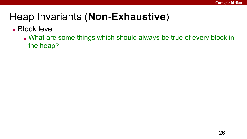#### ■ Block level

■ What are some things which should always be true of every block in the heap?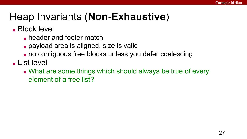■ Block level

- header and footer match
- payload area is aligned, size is valid
- no contiguous free blocks unless you defer coalescing

■ List level

■ What are some things which should always be true of every element of a free list?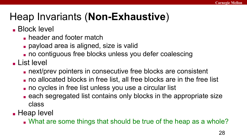#### ■ Block level

- header and footer match
- payload area is aligned, size is valid
- no contiguous free blocks unless you defer coalescing

■ List level

- next/prev pointers in consecutive free blocks are consistent
- no allocated blocks in free list, all free blocks are in the free list
- no cycles in free list unless you use a circular list
- each segregated list contains only blocks in the appropriate size class

■ Heap level

■ What are some things that should be true of the heap as a whole?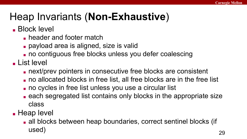#### ■ Block level

- header and footer match
- payload area is aligned, size is valid
- no contiguous free blocks unless you defer coalescing

■ List level

- next/prev pointers in consecutive free blocks are consistent
- no allocated blocks in free list, all free blocks are in the free list
- no cycles in free list unless you use a circular list
- each segregated list contains only blocks in the appropriate size class

■ Heap level

■ all blocks between heap boundaries, correct sentinel blocks (if used)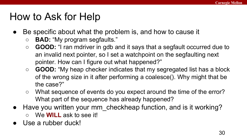### How to Ask for Help

- Be specific about what the problem is, and how to cause it
	- **BAD:** "My program segfaults."
	- **GOOD:** "I ran mdriver in gdb and it says that a segfault occurred due to an invalid next pointer, so I set a watchpoint on the segfaulting next pointer. How can I figure out what happened?"
	- **GOOD:** "My heap checker indicates that my segregated list has a block of the wrong size in it after performing a coalesce(). Why might that be the case?"
	- What sequence of events do you expect around the time of the error? What part of the sequence has already happened?
- Have you written your mm\_checkheap function, and is it working? ○ We **WILL** ask to see it!
- Use a rubber duck!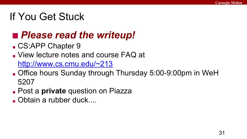#### If You Get Stuck

#### ■ *Please read the writeup!*

- CS:APP Chapter 9
- View lecture notes and course FAQ at

<http://www.cs.cmu.edu/~213>

- Office hours Sunday through Thursday 5:00-9:00pm in WeH 5207
- Post a **private** question on Piazza
- Obtain a rubber duck....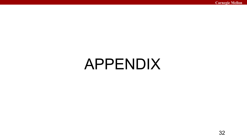# APPENDIX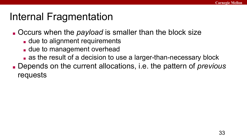#### Internal Fragmentation

■ Occurs when the *payload* is smaller than the block size

- due to alignment requirements
- due to management overhead
- as the result of a decision to use a larger-than-necessary block
- Depends on the current allocations, i.e. the pattern of *previous* requests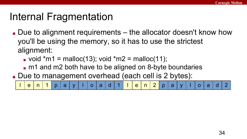### Internal Fragmentation

- Due to alignment requirements the allocator doesn't know how you'll be using the memory, so it has to use the strictest alignment:
	- $\bullet$  void \*m1 = malloc(13); void \*m2 = malloc(11);
	- m1 and m2 both have to be aligned on 8-byte boundaries
- Due to management overhead (each cell is 2 bytes):

l | e | n | 1 | p | a | y | l | o | a | d | 1 | l | e | n | 2 | p | a | y | l | o | a | d | 2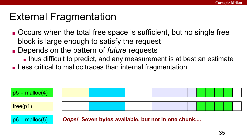#### External Fragmentation

- Occurs when the total free space is sufficient, but no single free block is large enough to satisfy the request
- Depends on the pattern of *future* requests
	- thus difficult to predict, and any measurement is at best an estimate
- Less critical to malloc traces than internal fragmentation

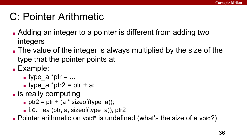#### C: Pointer Arithmetic

- Adding an integer to a pointer is different from adding two integers
- The value of the integer is always multiplied by the size of the type that the pointer points at
- Example:
	- type\_a  $*$ ptr = ...;
	- type  $a *ptr2 = ptr + a;$
- is really computing
	- $\bullet$  ptr2 = ptr + (a \* sizeof(type a));
	- $\blacksquare$  i.e. lea (ptr, a, sizeof(type a)), ptr2

■ Pointer arithmetic on void\* is undefined (what's the size of a void?)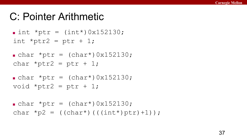#### C: Pointer Arithmetic

```
\blacksquare int *ptr = (int*)0x152130;
int *ptr2 = ptr + 1;
```

```
\bullet char *ptr = (char*)0x152130;
char *ptr2 = ptr + 1;
```

```
\bullet char *ptr = (char*)0x152130;
void *ptr2 = ptr + 1;
```

```
\bullet char *ptr = (char*)0x152130;
char *p2 = ((char*)((int*)ptr)+1));
```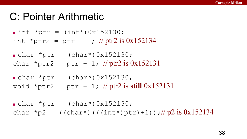#### C: Pointer Arithmetic

 $\blacksquare$  int \*ptr = (int\*)0x152130; int \*ptr2 = ptr + 1; // ptr2 is  $0x152134$ 

 $\bullet$  char \*ptr = (char\*)0x152130; char \*ptr2 = ptr + 1; // ptr2 is  $0x152131$ 

 $\bullet$  char \*ptr = (char\*)0x152130; void \*ptr2 = ptr + 1; // ptr2 is **still** 0x152131

 $\bullet$  char \*ptr = (char\*)0x152130; char \*p2 = ((char\*)(((int\*)ptr)+1));//p2 is 0x152134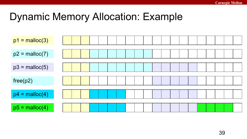### Dynamic Memory Allocation: Example

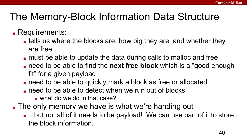# The Memory-Block Information Data Structure

#### ■ Requirements:

- tells us where the blocks are, how big they are, and whether they are free
- must be able to update the data during calls to malloc and free
- need to be able to find the **next free block** which is a "good enough fit" for a given payload
- need to be able to quickly mark a block as free or allocated
- $\blacksquare$  need to be able to detect when we run out of blocks
	- $\blacksquare$  what do we do in that case?
- The only memory we have is what we're handing out
	- ...but not all of it needs to be payload! We can use part of it to store the block information.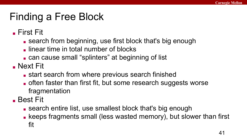### Finding a Free Block

■ First Fit

- search from beginning, use first block that's big enough
- linear time in total number of blocks
- can cause small "splinters" at beginning of list
- Next Fit
	- start search from where previous search finished
	- often faster than first fit, but some research suggests worse fragmentation
- Best Fit
	- search entire list, use smallest block that's big enough
	- keeps fragments small (less wasted memory), but slower than first fit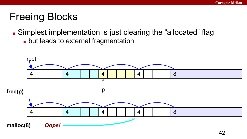# Freeing Blocks

■ Simplest implementation is just clearing the "allocated" flag

■ but leads to external fragmentation

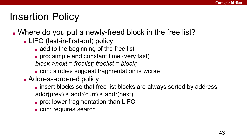### Insertion Policy

- . Where do you put a newly-freed block in the free list?
	- LIFO (last-in-first-out) policy
		- add to the beginning of the free list
		- pro: simple and constant time (very fast)
		- *block->next = freelist; freelist = block;*
		- con: studies suggest fragmentation is worse
	- Address-ordered policy
		- insert blocks so that free list blocks are always sorted by address addr(prev) < addr(curr) < addr(next)
		- pro: lower fragmentation than LIFO
		- con: requires search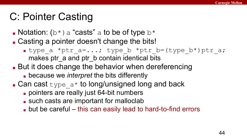# C: Pointer Casting

- Notation:  $(b*)$  a "casts" a to be of type  $b*$
- Casting a pointer doesn't change the bits!
	- type\_a \*ptr\_a=...; type\_b \*ptr\_b=(type\_b\*)ptr\_a; makes ptr\_a and ptr\_b contain identical bits
- But it does change the behavior when dereferencing
	- because we *interpret* the bits differently
- Can cast  $type$  a\* to long/unsigned long and back
	- pointers are really just 64-bit numbers
	- such casts are important for malloclab
	- but be careful this can easily lead to hard-to-find errors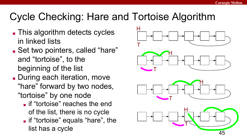# Cycle Checking: Hare and Tortoise Algorithm

- This algorithm detects cycles in linked lists
- Set two pointers, called "hare" and "tortoise", to the beginning of the list
- During each iteration, move "hare" forward by two nodes, "tortoise" by one node
	- **If "tortoise" reaches the end** of the list, there is no cycle
	- if "tortoise" equals "hare", the list has a cycle

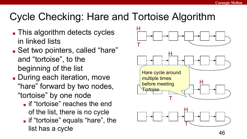# Cycle Checking: Hare and Tortoise Algorithm

- This algorithm detects cycles in linked lists
- Set two pointers, called "hare" and "tortoise", to the beginning of the list
- During each iteration, move "hare" forward by two nodes, "tortoise" by one node
	- if "tortoise" reaches the end of the list, there is no cycle
	- if "tortoise" equals "hare", the list has a cycle

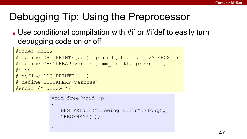# Debugging Tip: Using the Preprocessor

■ Use conditional compilation with #if or #ifdef to easily turn debugging code on or off

```
#ifdef DEBUG
# define DBG PRINTF(...) fprintf(stderr, VA ARGS)
# define CHECKHEAP(verbose) mm_checkheap(verbose)
#else
# define DBG_PRINTF(...)
# define CHECKHEAP(verbose)
#endif /* DEBUG */
```

```
void free(void *p)
{
   DBG PRINTF("freeing \ell x \nightharpoonup f, (long)p);
   CHECKHEAP(1);
 ...
}
```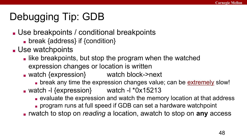# Debugging Tip: GDB

- Use breakpoints / conditional breakpoints
	- break {address} if {condition}
- Use watchpoints
	- like breakpoints, but stop the program when the watched expression changes or location is written
	- watch {expression} watch block->next
		- break any time the expression changes value; can be extremely slow!
	- $\bullet$  watch -l {expression} watch -l  $*0x15213$ 
		- evaluate the expression and watch the memory location at that address
		- program runs at full speed if GDB can set a hardware watchpoint
	- rwatch to stop on *reading* a location, awatch to stop on **any** access